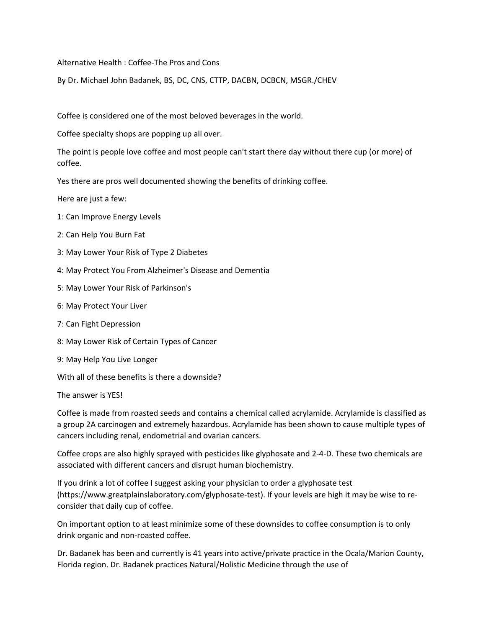Alternative Health : Coffee-The Prosand Cons

By Dr. Michael John Badanek, BS, DC, CNS, CTTP, DACBN, DCBCN, MSGR./CHEV

Coffee is considered one of the most beloved beverages in the world.

Coffee specialty shops are popping up all over.

The point is people love coffee and most people can't start there day without there cup (or more) of coffee.

Yes there are pros well documented showing the benefits of drinking coffee.

Here are just a few:

- 1: Can Improve Energy Levels
- 2: Can Help You Burn Fat
- 3: May Lower Your Risk of Type 2 Diabetes
- 4: May Protect You From Alzheimer's Disease and Dementia
- 5: May Lower Your Risk of Parkinson's
- 6: May Protect Your Liver
- 7: Can Fight Depression
- 8: May Lower Risk of Certain Types of Cancer
- 9: May Help You Live Longer

With all of these benefits is there a downside?

The answer is YES!

Coffee is made from roasted seeds and contains a chemical called acrylamide. Acrylamide is classified as a group 2A carcinogen and extremely hazardous. Acrylamide has been shown to cause multiple types of cancers including renal, endometrial and ovarian cancers.

Coffee crops are also highly sprayed with pesticides like glyphosate and 2-4-D. These two chemicals are associated with different cancers and disrupt human biochemistry.

If you drink a lot of coffee I suggest asking your physician to order a glyphosate test (https://www.greatplainslaboratory.com/glyphosate-test). If your levels are high it may be wise to re consider that daily cup of coffee.

On important option to at least minimize some of these downsides to coffee consumption is to only drink organic and non-roasted coffee.

Dr. Badanek has been and currently is 41 years into active/private practice in the Ocala/Marion County, Florida region. Dr. Badanek practices Natural/Holistic Medicine through the use of